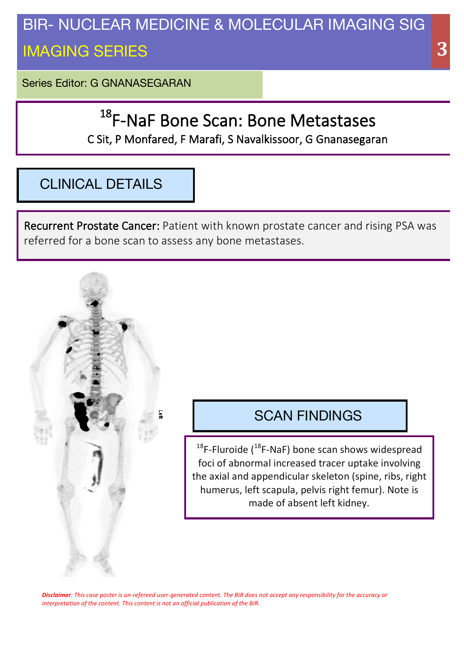## BIR- NUCLEAR MEDICINE & MOLECULAR IMAGING SIG IMAGING SERIES

Series Editor: G GNANASEGARAN

# <sup>18</sup>F-NaF Bone Scan: Bone Metastases

C Sit, P Monfared, F Marafi, S Navalkissoor, G Gnanasegaran

## CLINICAL DETAILS

Recurrent Prostate Cancer: Patient with known prostate cancer and rising PSA was referred for a bone scan to assess any bone metastases.

### SCAN FINDINGS

 $18$ F-Fluroide ( $18$ F-NaF) bone scan shows widespread foci of abnormal increased tracer uptake involving the axial and appendicular skeleton (spine, ribs, right humerus, left scapula, pelvis right femur). Note is made of absent left kidney.

Disclaimer: This case poster is un-refereed user-generated content. The BIR does not accept any responsibility for the accuracy or *interpretation of the content. This content is not an official publication of the BIR.* 

 **33**